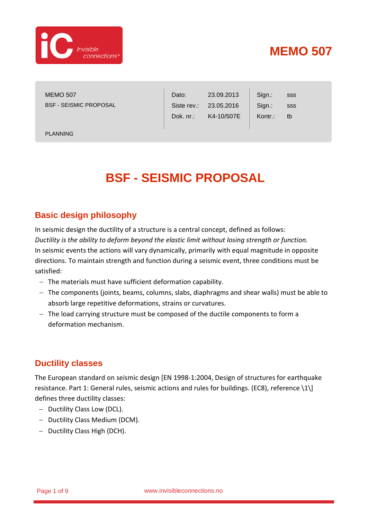

MEMO 507 BSF - SEISMIC PROPOSAL

| Dato:        | 23.09.2013             | Sign.:  | sss        |  |
|--------------|------------------------|---------|------------|--|
|              | Siste rev.: 23.05.2016 | Sign.:  | <b>SSS</b> |  |
| Dok. $nr$ .: | K4-10/507E             | Kontr.: | th         |  |
|              |                        |         |            |  |

PLANNING

# **BSF - SEISMIC PROPOSAL**

 $\mathbb{L}$ 

### **Basic design philosophy**

In seismic design the ductility of a structure is a central concept, defined as follows: *Ductility is the ability to deform beyond the elastic limit without losing strength or function.* In seismic events the actions will vary dynamically, primarily with equal magnitude in opposite directions. To maintain strength and function during a seismic event, three conditions must be satisfied:

- − The materials must have sufficient deformation capability.
- − The components (joints, beams, columns, slabs, diaphragms and shear walls) must be able to absorb large repetitive deformations, strains or curvatures.
- − The load carrying structure must be composed of the ductile components to form a deformation mechanism.

#### **Ductility classes**

The European standard on seismic design [EN 1998-1:2004, Design of structures for earthquake resistance. Part 1: General rules, seismic actions and rules for buildings. (EC8), reference \1\] defines three ductility classes:

- − Ductility Class Low (DCL).
- − Ductility Class Medium (DCM).
- − Ductility Class High (DCH).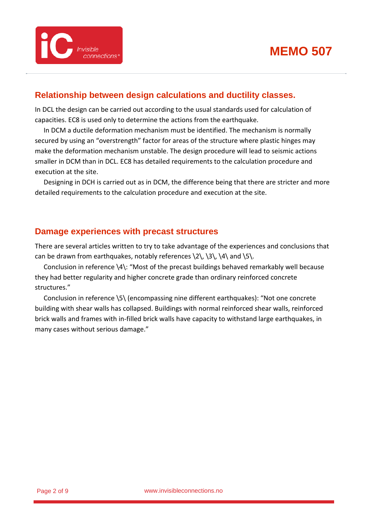#### **Relationship between design calculations and ductility classes.**

In DCL the design can be carried out according to the usual standards used for calculation of capacities. EC8 is used only to determine the actions from the earthquake.

In DCM a ductile deformation mechanism must be identified. The mechanism is normally secured by using an "overstrength" factor for areas of the structure where plastic hinges may make the deformation mechanism unstable. The design procedure will lead to seismic actions smaller in DCM than in DCL. EC8 has detailed requirements to the calculation procedure and execution at the site.

Designing in DCH is carried out as in DCM, the difference being that there are stricter and more detailed requirements to the calculation procedure and execution at the site.

#### **Damage experiences with precast structures**

There are several articles written to try to take advantage of the experiences and conclusions that can be drawn from earthquakes, notably references  $\2\,$   $\3\,$   $\4\$  and  $\5$ .

Conclusion in reference \4\: "Most of the precast buildings behaved remarkably well because they had better regularity and higher concrete grade than ordinary reinforced concrete structures."

Conclusion in reference \5\ (encompassing nine different earthquakes): "Not one concrete building with shear walls has collapsed. Buildings with normal reinforced shear walls, reinforced brick walls and frames with in-filled brick walls have capacity to withstand large earthquakes, in many cases without serious damage."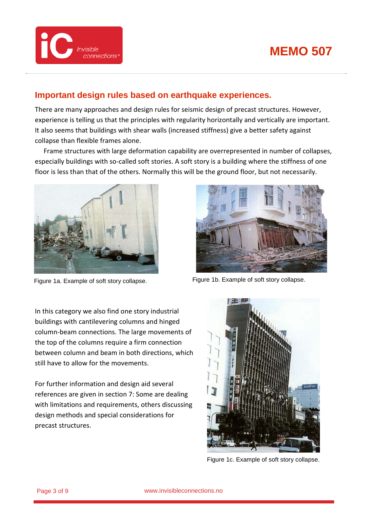

#### **Important design rules based on earthquake experiences.**

There are many approaches and design rules for seismic design of precast structures. However, experience is telling us that the principles with regularity horizontally and vertically are important. It also seems that buildings with shear walls (increased stiffness) give a better safety against collapse than flexible frames alone.

Frame structures with large deformation capability are overrepresented in number of collapses, especially buildings with so-called soft stories. A soft story is a building where the stiffness of one floor is less than that of the others. Normally this will be the ground floor, but not necessarily.





Figure 1a. Example of soft story collapse. Figure 1b. Example of soft story collapse.

In this category we also find one story industrial buildings with cantilevering columns and hinged column-beam connections. The large movements of the top of the columns require a firm connection between column and beam in both directions, which still have to allow for the movements.

For further information and design aid several references are given in section 7: Some are dealing with limitations and requirements, others discussing design methods and special considerations for precast structures.



Figure 1c. Example of soft story collapse.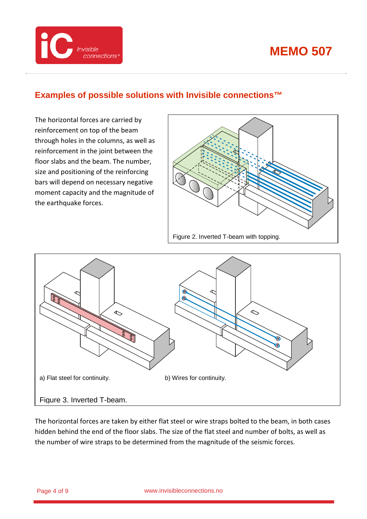

### **Examples of possible solutions with Invisible connections™**

The horizontal forces are carried by reinforcement on top of the beam through holes in the columns, as well as reinforcement in the joint between the floor slabs and the beam. The number, size and positioning of the reinforcing bars will depend on necessary negative moment capacity and the magnitude of the earthquake forces.

*connections*<sup>®</sup>

**COMPUTER Invisible** 





The horizontal forces are taken by either flat steel or wire straps bolted to the beam, in both cases hidden behind the end of the floor slabs. The size of the flat steel and number of bolts, as well as the number of wire straps to be determined from the magnitude of the seismic forces.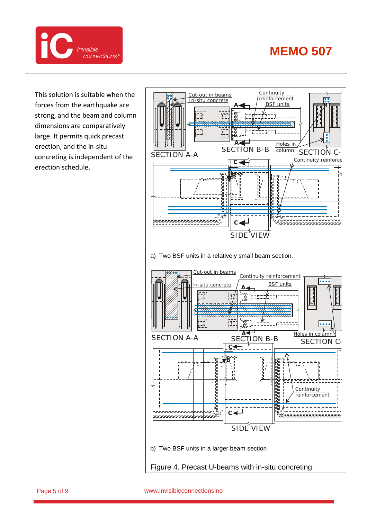

This solution is suitable when the forces from the earthquake are strong, and the beam and column dimensions are comparatively large. It permits quick precast erection, and the in-situ concreting is independent of the erection schedule.

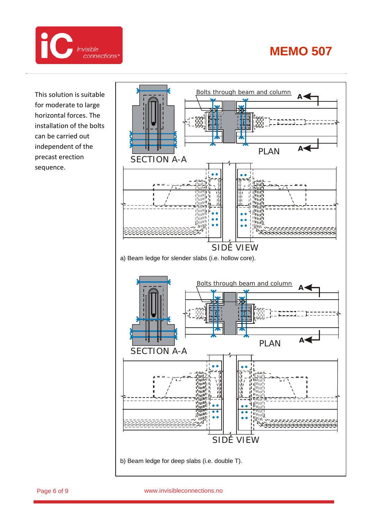

This solution is suitable for moderate to large horizontal forces. The installation of the bolts can be carried out independent of the precast erection sequence.



Page 6 of 9 www.invisibleconnections.no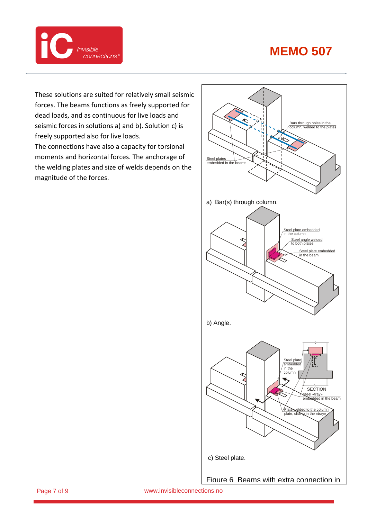

These solutions are suited for relatively small seismic forces. The beams functions as freely supported for dead loads, and as continuous for live loads and seismic forces in solutions a) and b). Solution c) is freely supported also for live loads. The connections have also a capacity for torsional moments and horizontal forces. The anchorage of the welding plates and size of welds depends on the magnitude of the forces.



Page 7 of 9 www.invisibleconnections.no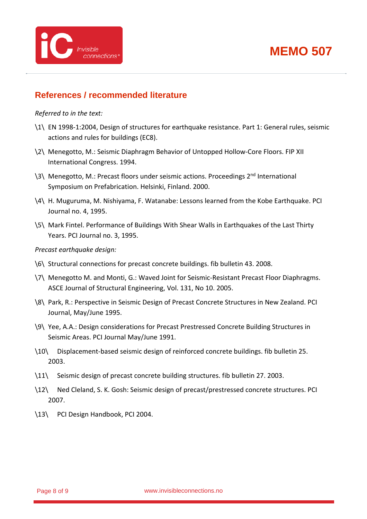

#### **References / recommended literature**

#### *Referred to in the text:*

- \1\ EN 1998-1:2004, Design of structures for earthquake resistance. Part 1: General rules, seismic actions and rules for buildings (EC8).
- \2\ Menegotto, M.: Seismic Diaphragm Behavior of Untopped Hollow-Core Floors. FIP XII International Congress. 1994.
- \3\ Menegotto, M.: Precast floors under seismic actions. Proceedings 2<sup>nd</sup> International Symposium on Prefabrication. Helsinki, Finland. 2000.
- \4\ H. Muguruma, M. Nishiyama, F. Watanabe: Lessons learned from the Kobe Earthquake. PCI Journal no. 4, 1995.
- \5\ Mark Fintel. Performance of Buildings With Shear Walls in Earthquakes of the Last Thirty Years. PCI Journal no. 3, 1995.

#### *Precast earthquake design:*

- \6\ Structural connections for precast concrete buildings. fib bulletin 43. 2008.
- \7\ Menegotto M. and Monti, G.: Waved Joint for Seismic-Resistant Precast Floor Diaphragms. ASCE Journal of Structural Engineering, Vol. 131, No 10. 2005.
- \8\ Park, R.: Perspective in Seismic Design of Precast Concrete Structures in New Zealand. PCI Journal, May/June 1995.
- \9\ Yee, A.A.: Design considerations for Precast Prestressed Concrete Building Structures in Seismic Areas. PCI Journal May/June 1991.
- \10\ Displacement-based seismic design of reinforced concrete buildings. fib bulletin 25. 2003.
- \11\ Seismic design of precast concrete building structures. fib bulletin 27. 2003.
- \12\ Ned Cleland, S. K. Gosh: Seismic design of precast/prestressed concrete structures. PCI 2007.
- \13\ PCI Design Handbook, PCI 2004.